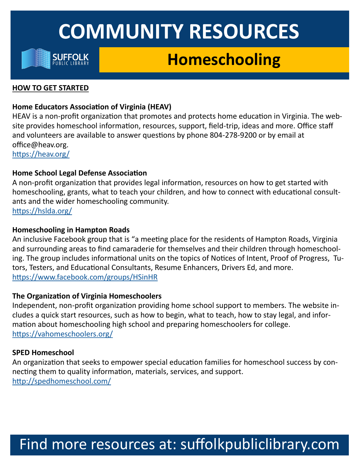

## **Homeschooling**

#### **HOW TO GET STARTED**

### **Home Educators Association of Virginia (HEAV)**

HEAV is a non-profit organization that promotes and protects home education in Virginia. The website provides homeschool information, resources, support, field-trip, ideas and more. Office staff and volunteers are available to answer questions by phone 804-278-9200 or by email at office@heav.org. <https://heav.org/>

### **Home School Legal Defense Association**

A non-profit organization that provides legal information, resources on how to get started with homeschooling, grants, what to teach your children, and how to connect with educational consultants and the wider homeschooling community. <https://hslda.org/>

#### **Homeschooling in Hampton Roads**

An inclusive Facebook group that is "a meeting place for the residents of Hampton Roads, Virginia and surrounding areas to find camaraderie for themselves and their children through homeschooling. The group includes informational units on the topics of Notices of Intent, Proof of Progress, Tutors, Testers, and Educational Consultants, Resume Enhancers, Drivers Ed, and more. <https://www.facebook.com/groups/HSinHR>

### **The Organization of Virginia Homeschoolers**

Independent, non-profit organization providing home school support to members. The website includes a quick start resources, such as how to begin, what to teach, how to stay legal, and information about homeschooling high school and preparing homeschoolers for college. <https://vahomeschoolers.org/>

### **SPED Homeschool**

An organization that seeks to empower special education families for homeschool success by connecting them to quality information, materials, services, and support. <http://spedhomeschool.com/>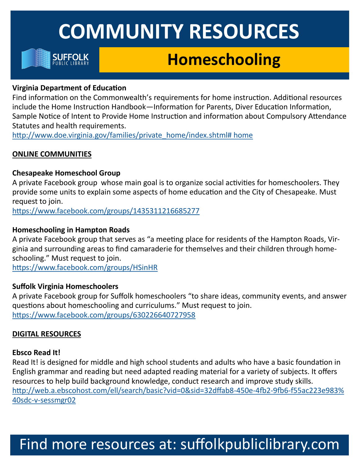

## **Homeschooling**

### **Virginia Department of Education**

Find information on the Commonwealth's requirements for home instruction. Additional resources include the Home Instruction Handbook—Information for Parents, Diver Education Information, Sample Notice of Intent to Provide Home Instruction and information about Compulsory Attendance Statutes and health requirements.

[http://www.doe.virginia.gov/families/private\\_home/index.shtml# home](http://www.doe.virginia.gov/families/private_home/index.shtml#home)

### **ONLINE COMMUNITIES**

### **Chesapeake Homeschool Group**

A private Facebook group whose main goal is to organize social activities for homeschoolers. They provide some units to explain some aspects of home education and the City of Chesapeake. Must request to join.

<https://www.facebook.com/groups/1435311216685277>

### **Homeschooling in Hampton Roads**

A private Facebook group that serves as "a meeting place for residents of the Hampton Roads, Virginia and surrounding areas to find camaraderie for themselves and their children through homeschooling." Must request to join.

<https://www.facebook.com/groups/HSinHR>

### **Suffolk Virginia Homeschoolers**

A private Facebook group for Suffolk homeschoolers "to share ideas, community events, and answer questions about homeschooling and curriculums." Must request to join. <https://www.facebook.com/groups/630226640727958>

### **DIGITAL RESOURCES**

### **Ebsco Read It!**

Read It! is designed for middle and high school students and adults who have a basic foundation in English grammar and reading but need adapted reading material for a variety of subjects. It offers resources to help build background knowledge, conduct research and improve study skills. [http://web.a.ebscohost.com/ell/search/basic?vid=0&sid=32dffab8](http://web.a.ebscohost.com/ell/search/basic?vid=0&sid=32dffab8-450e-4fb2-9fb6-f55ac223e983%40sdc-v-sessmgr02)-450e-4fb2-9fb6-f55ac223e983% 40sdc-v-[sessmgr02](http://web.a.ebscohost.com/ell/search/basic?vid=0&sid=32dffab8-450e-4fb2-9fb6-f55ac223e983%40sdc-v-sessmgr02)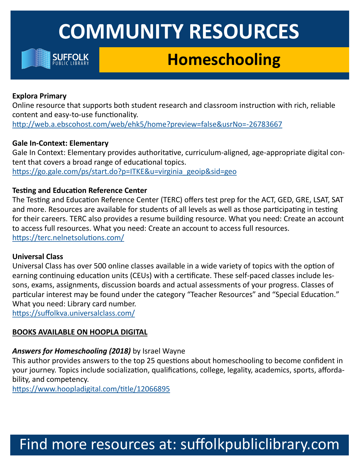

## **Homeschooling**

### **Explora Primary**

Online resource that supports both student research and classroom instruction with rich, reliable content and easy-to-use functionality.

[http://web.a.ebscohost.com/web/ehk5/home?preview=false&usrNo=](http://web.a.ebscohost.com/web/ehk5/home?preview=false&usrNo=-26783667)-26783667

### **Gale In-Context: Elementary**

Gale In Context: Elementary provides authoritative, curriculum-aligned, age-appropriate digital content that covers a broad range of educational topics. [https://go.gale.com/ps/start.do?p=ITKE&u=virginia\\_geoip&sid=geo](https://go.gale.com/ps/start.do?p=ITKE&u=virginia_geoip&sid=geo)

### **Testing and Education Reference Center**

The Testing and Education Reference Center (TERC) offers test prep for the ACT, GED, GRE, LSAT, SAT and more. Resources are available for students of all levels as well as those participating in testing for their careers. TERC also provides a resume building resource. What you need: Create an account to access full resources. What you need: Create an account to access full resources. <https://terc.nelnetsolutions.com/>

### **Universal Class**

Universal Class has over 500 online classes available in a wide variety of topics with the option of earning continuing education units (CEUs) with a certificate. These self-paced classes include lessons, exams, assignments, discussion boards and actual assessments of your progress. Classes of particular interest may be found under the category "Teacher Resources" and "Special Education." What you need: Library card number.

<https://suffolkva.universalclass.com/>

### **BOOKS AVAILABLE ON HOOPLA DIGITAL**

### *Answers for Homeschooling (2018)* by Israel Wayne

This author provides answers to the top 25 questions about homeschooling to become confident in your journey. Topics include socialization, qualifications, college, legality, academics, sports, affordability, and competency.

<https://www.hoopladigital.com/title/12066895>